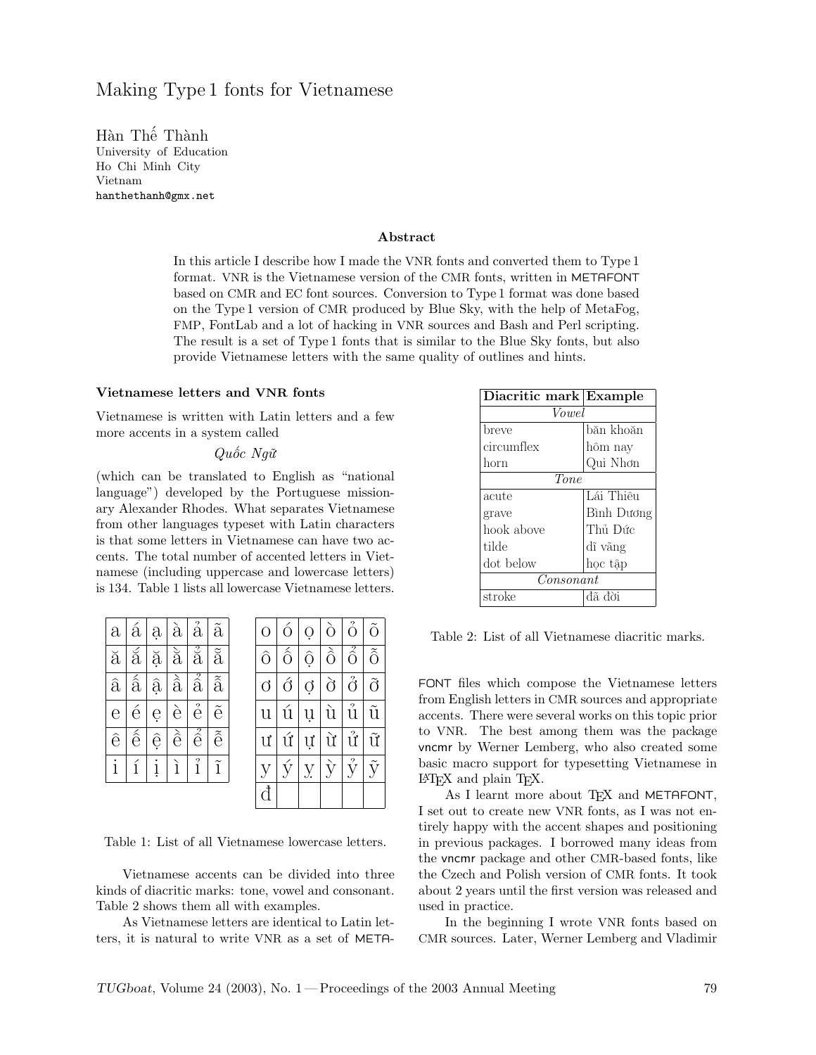# Making Type 1 fonts for Vietnamese

Hàn Thế Thành University of Education Ho Chi Minh City Vietnam hanthethanh@gmx.net

#### Abstract

In this article I describe how I made the VNR fonts and converted them to Type 1 format. VNR is the Vietnamese version of the CMR fonts, written in METAFONT based on CMR and EC font sources. Conversion to Type 1 format was done based on the Type 1 version of CMR produced by Blue Sky, with the help of MetaFog, FMP, FontLab and a lot of hacking in VNR sources and Bash and Perl scripting. The result is a set of Type 1 fonts that is similar to the Blue Sky fonts, but also provide Vietnamese letters with the same quality of outlines and hints.

#### Vietnamese letters and VNR fonts

Vietnamese is written with Latin letters and a few more accents in a system called

#### Quốc Ngữ

(which can be translated to English as "national language") developed by the Portuguese missionary Alexander Rhodes. What separates Vietnamese from other languages typeset with Latin characters is that some letters in Vietnamese can have two accents. The total number of accented letters in Vietnamese (including uppercase and lowercase letters) is 134. Table 1 lists all lowercase Vietnamese letters.

| $\partial$           | á                        | ą             | $\grave{a}$              | $\mathrm{\AA}$                | $\tilde{a}$                |   |   | Ω  | ò         | ó               |                   |
|----------------------|--------------------------|---------------|--------------------------|-------------------------------|----------------------------|---|---|----|-----------|-----------------|-------------------|
| $\breve{\mathrm{a}}$ | ă                        | ă             | à                        | $\overset{2}{\text{a}}$       | $\tilde{\rm a}$            |   | ố | ô  | $\delta$  | $\hat{\hat{o}}$ | $\tilde{\hat{O}}$ |
| $\hat{a}$            | $\hat{\hat{\mathbf{a}}}$ | $\widehat{a}$ | $\hat{\hat{\mathrm{a}}}$ | $\overline{\hat{\mathrm{a}}}$ | $\tilde{\hat{\mathbf{a}}}$ |   | ớ | Ø  | ò         | $\hat{\vec{O}}$ | õ                 |
| $\mathbf e$          | é                        | ę             | è                        | ê                             | $\tilde{e}$                |   |   |    |           | ?<br>11         |                   |
| ê                    | $\hat{\hat{e}}$          | ê             | è                        | $\vec{\hat{e}}$               | $\tilde{\hat{e}}$          | ư | ú | U  | ù         | ử               | ĩř                |
| i                    | í                        | i             | ì                        | î                             | ĩ                          |   |   | У. | $\hat{y}$ | ŷ               |                   |
|                      |                          |               |                          |                               |                            |   |   |    |           |                 |                   |

Table 1: List of all Vietnamese lowercase letters.

Vietnamese accents can be divided into three kinds of diacritic marks: tone, vowel and consonant. Table 2 shows them all with examples.

As Vietnamese letters are identical to Latin letters, it is natural to write VNR as a set of META-

| Diacritic mark Example |            |  |  |  |  |
|------------------------|------------|--|--|--|--|
| Vowel                  |            |  |  |  |  |
| breve                  | băn khoăn  |  |  |  |  |
| circumflex             | hôm nay    |  |  |  |  |
| horn                   | Qui Nhơn   |  |  |  |  |
| <b>Tone</b>            |            |  |  |  |  |
| acute                  | Lái Thiêu  |  |  |  |  |
| grave                  | Bình Dương |  |  |  |  |
| hook above             | Thủ Đức    |  |  |  |  |
| tilde                  | dĩ vãng    |  |  |  |  |
| dot below              | hoc tâp    |  |  |  |  |
| Consonant              |            |  |  |  |  |
| stroke                 | đã đời     |  |  |  |  |

Table 2: List of all Vietnamese diacritic marks.

FONT files which compose the Vietnamese letters from English letters in CMR sources and appropriate accents. There were several works on this topic prior to VNR. The best among them was the package vncmr by Werner Lemberg, who also created some basic macro support for typesetting Vietnamese in LATEX and plain TEX.

As I learnt more about TFX and METAFONT, I set out to create new VNR fonts, as I was not entirely happy with the accent shapes and positioning in previous packages. I borrowed many ideas from the vncmr package and other CMR-based fonts, like the Czech and Polish version of CMR fonts. It took about 2 years until the first version was released and used in practice.

In the beginning I wrote VNR fonts based on CMR sources. Later, Werner Lemberg and Vladimir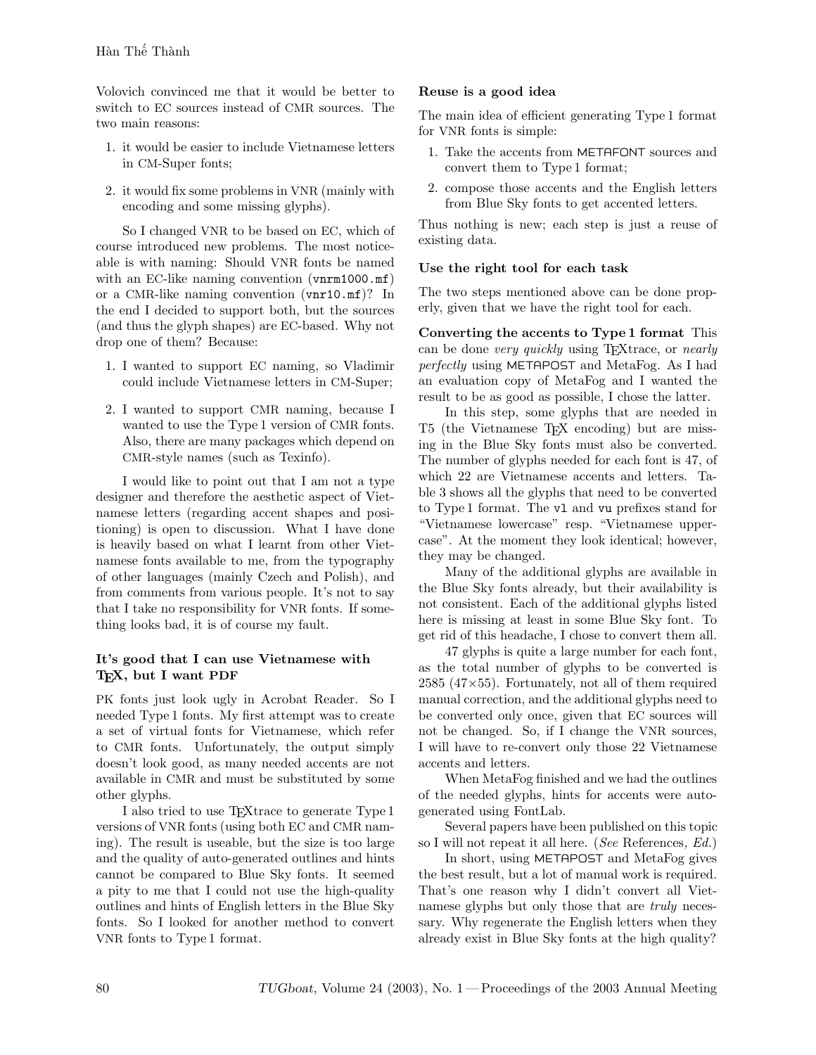Volovich convinced me that it would be better to switch to EC sources instead of CMR sources. The two main reasons:

- 1. it would be easier to include Vietnamese letters in CM-Super fonts;
- 2. it would fix some problems in VNR (mainly with encoding and some missing glyphs).

So I changed VNR to be based on EC, which of course introduced new problems. The most noticeable is with naming: Should VNR fonts be named with an EC-like naming convention (vnrm1000.mf) or a CMR-like naming convention (vnr10.mf)? In the end I decided to support both, but the sources (and thus the glyph shapes) are EC-based. Why not drop one of them? Because:

- 1. I wanted to support EC naming, so Vladimir could include Vietnamese letters in CM-Super;
- 2. I wanted to support CMR naming, because I wanted to use the Type 1 version of CMR fonts. Also, there are many packages which depend on CMR-style names (such as Texinfo).

I would like to point out that I am not a type designer and therefore the aesthetic aspect of Vietnamese letters (regarding accent shapes and positioning) is open to discussion. What I have done is heavily based on what I learnt from other Vietnamese fonts available to me, from the typography of other languages (mainly Czech and Polish), and from comments from various people. It's not to say that I take no responsibility for VNR fonts. If something looks bad, it is of course my fault.

## It's good that I can use Vietnamese with T<sub>E</sub>X, but I want PDF

PK fonts just look ugly in Acrobat Reader. So I needed Type 1 fonts. My first attempt was to create a set of virtual fonts for Vietnamese, which refer to CMR fonts. Unfortunately, the output simply doesn't look good, as many needed accents are not available in CMR and must be substituted by some other glyphs.

I also tried to use TEXtrace to generate Type 1 versions of VNR fonts (using both EC and CMR naming). The result is useable, but the size is too large and the quality of auto-generated outlines and hints cannot be compared to Blue Sky fonts. It seemed a pity to me that I could not use the high-quality outlines and hints of English letters in the Blue Sky fonts. So I looked for another method to convert VNR fonts to Type 1 format.

## Reuse is a good idea

The main idea of efficient generating Type 1 format for VNR fonts is simple:

- 1. Take the accents from METAFONT sources and convert them to Type 1 format;
- 2. compose those accents and the English letters from Blue Sky fonts to get accented letters.

Thus nothing is new; each step is just a reuse of existing data.

## Use the right tool for each task

The two steps mentioned above can be done properly, given that we have the right tool for each.

Converting the accents to Type 1 format This can be done very quickly using TEXtrace, or nearly perfectly using METAPOST and MetaFog. As I had an evaluation copy of MetaFog and I wanted the result to be as good as possible, I chose the latter.

In this step, some glyphs that are needed in T5 (the Vietnamese TEX encoding) but are missing in the Blue Sky fonts must also be converted. The number of glyphs needed for each font is 47, of which 22 are Vietnamese accents and letters. Table 3 shows all the glyphs that need to be converted to Type 1 format. The vl and vu prefixes stand for "Vietnamese lowercase" resp. "Vietnamese uppercase". At the moment they look identical; however, they may be changed.

Many of the additional glyphs are available in the Blue Sky fonts already, but their availability is not consistent. Each of the additional glyphs listed here is missing at least in some Blue Sky font. To get rid of this headache, I chose to convert them all.

47 glyphs is quite a large number for each font, as the total number of glyphs to be converted is  $2585$  ( $47\times55$ ). Fortunately, not all of them required manual correction, and the additional glyphs need to be converted only once, given that EC sources will not be changed. So, if I change the VNR sources, I will have to re-convert only those 22 Vietnamese accents and letters.

When MetaFog finished and we had the outlines of the needed glyphs, hints for accents were autogenerated using FontLab.

Several papers have been published on this topic so I will not repeat it all here. (See References, Ed.)

In short, using METAPOST and MetaFog gives the best result, but a lot of manual work is required. That's one reason why I didn't convert all Vietnamese glyphs but only those that are *truly* necessary. Why regenerate the English letters when they already exist in Blue Sky fonts at the high quality?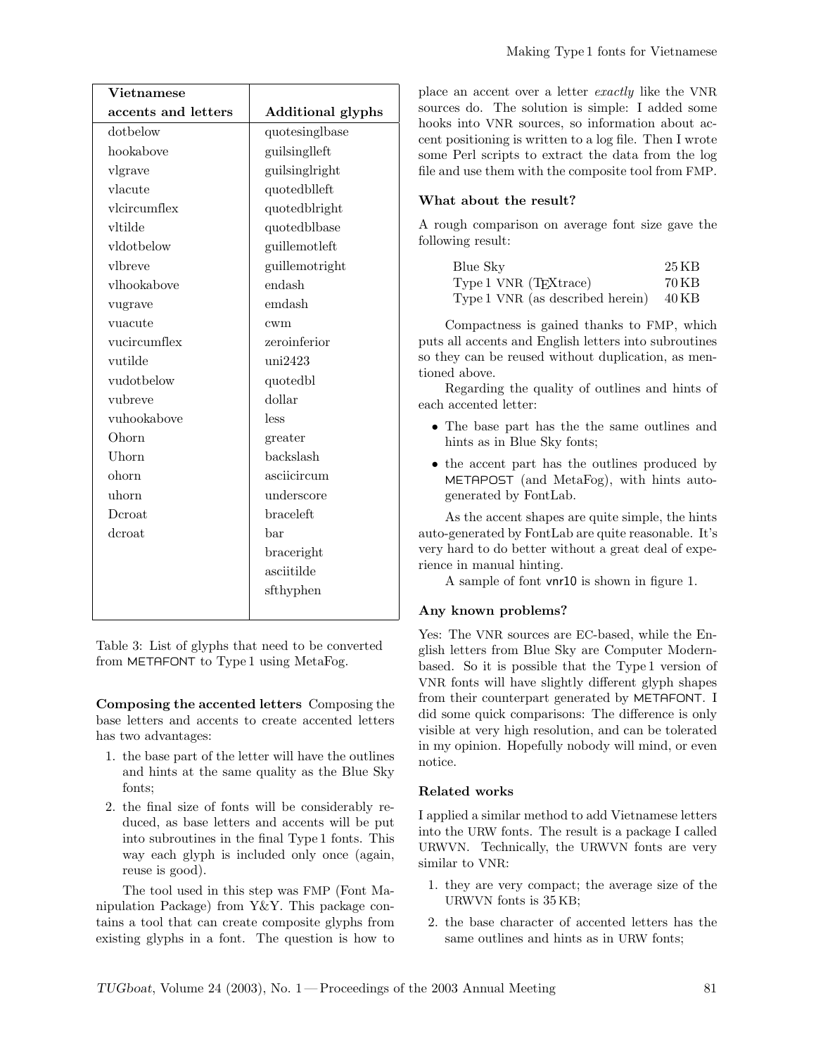| Vietnamese          |                          |
|---------------------|--------------------------|
| accents and letters | <b>Additional glyphs</b> |
| dothelow            | quotesinglbase           |
| hookabove           | guilsingleft             |
| vlgrave             | guilsinglright           |
| vlacute             | quotedblleft             |
| vlcircumflex        | quotedblright            |
| vltilde             | quotedblbase             |
| vldotbelow          | guillemotleft            |
| vlbreve             | guillemotright           |
| vlhookabove         | endash                   |
| vugrave             | emdash                   |
| vuacute             | cwm                      |
| vucircumflex        | zeroinferior             |
| vutilde             | uni2423                  |
| vudotbelow          | quotedbl                 |
| vubreve             | dollar                   |
| vuhookabove         | less                     |
| Ohorn               | greater                  |
| Uhorn               | backslash                |
| ohorn               | asciicircum              |
| uhorn               | underscore               |
| Deroat              | <b>braceleft</b>         |
| dcroat              | bar                      |
|                     | braceright               |
|                     | asciitilde               |
|                     | sfthyphen                |
|                     |                          |

Table 3: List of glyphs that need to be converted from METAFONT to Type 1 using MetaFog.

Composing the accented letters Composing the base letters and accents to create accented letters has two advantages:

- 1. the base part of the letter will have the outlines and hints at the same quality as the Blue Sky fonts;
- 2. the final size of fonts will be considerably reduced, as base letters and accents will be put into subroutines in the final Type 1 fonts. This way each glyph is included only once (again, reuse is good).

The tool used in this step was FMP (Font Manipulation Package) from Y&Y. This package contains a tool that can create composite glyphs from existing glyphs in a font. The question is how to place an accent over a letter exactly like the VNR sources do. The solution is simple: I added some hooks into VNR sources, so information about accent positioning is written to a log file. Then I wrote some Perl scripts to extract the data from the log file and use them with the composite tool from FMP.

### What about the result?

A rough comparison on average font size gave the following result:

| Blue Sky                               | 25 KB |
|----------------------------------------|-------|
| Type 1 VNR (T <sub>E</sub> Xtrace)     | 70 KB |
| Type 1 VNR (as described herein) 40 KB |       |

Compactness is gained thanks to FMP, which puts all accents and English letters into subroutines so they can be reused without duplication, as mentioned above.

Regarding the quality of outlines and hints of each accented letter:

- The base part has the the same outlines and hints as in Blue Sky fonts;
- the accent part has the outlines produced by METAPOST (and MetaFog), with hints autogenerated by FontLab.

As the accent shapes are quite simple, the hints auto-generated by FontLab are quite reasonable. It's very hard to do better without a great deal of experience in manual hinting.

A sample of font vnr10 is shown in figure 1.

#### Any known problems?

Yes: The VNR sources are EC-based, while the English letters from Blue Sky are Computer Modernbased. So it is possible that the Type 1 version of VNR fonts will have slightly different glyph shapes from their counterpart generated by METAFONT. I did some quick comparisons: The difference is only visible at very high resolution, and can be tolerated in my opinion. Hopefully nobody will mind, or even notice.

#### Related works

I applied a similar method to add Vietnamese letters into the URW fonts. The result is a package I called URWVN. Technically, the URWVN fonts are very similar to VNR:

- 1. they are very compact; the average size of the URWVN fonts is 35 KB;
- 2. the base character of accented letters has the same outlines and hints as in URW fonts;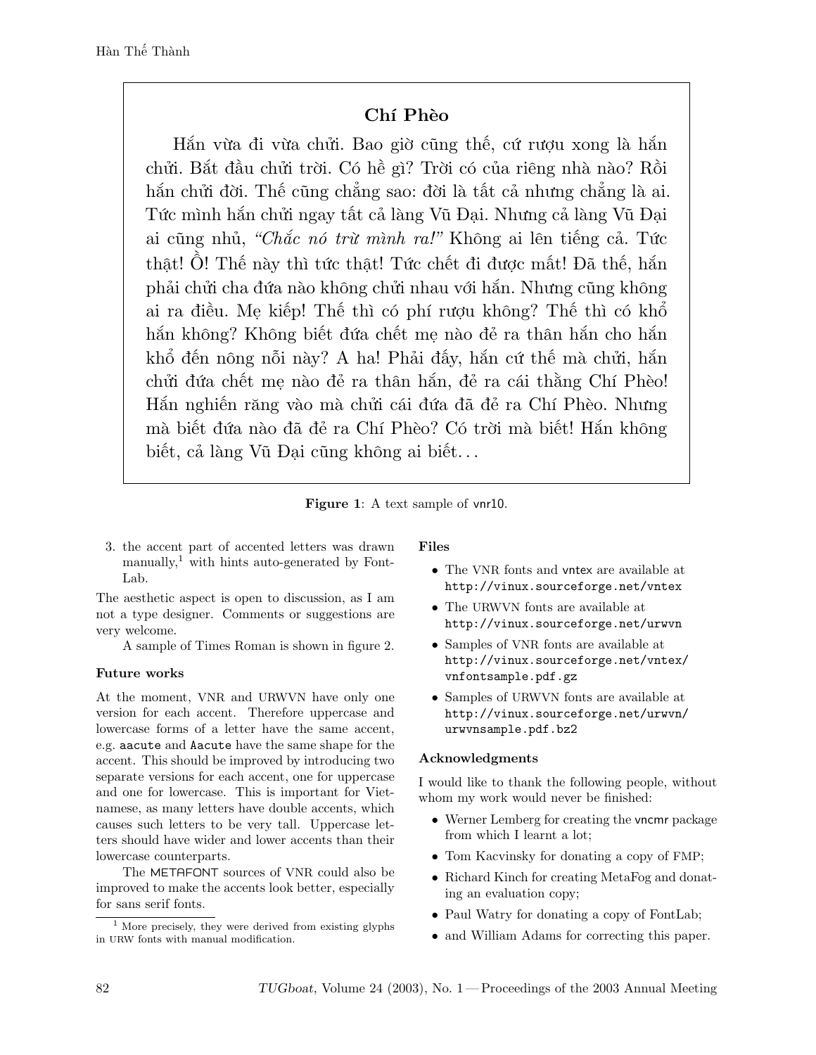# Chí Phèo

Hắn vừa đi vừa chửi. Bao giờ cũng thế, cứ rượu xong là hắn chửi. Bắt đầu chửi trời. Có hề gì? Trời có của riêng nhà nào? Rồi hắn chửi đời. Thế cũng chẳng sao: đời là tất cả nhưng chẳng là ai. Tức mình hắn chửi ngay tất cả làng Vũ Đại. Nhưng cả làng Vũ Đại ai cũng nhủ, "Chắc nó trừ mình ra!" Không ai lên tiếng cả. Tức thật! Ồ! Thế này thì tức thật! Tức chết đi được mất! Đã thế, hắn phải chửi cha đứa nào không chửi nhau với hắn. Nhưng cũng không ai ra điều. Mẹ kiếp! Thế thì có phí rượu không? Thế thì có khổ hắn không? Không biết đứa chết mẹ nào đẻ ra thân hắn cho hắn khổ đến nông nỗi này? A ha! Phải đấy, hắn cứ thế mà chửi, hắn chửi đứa chết mẹ nào đẻ ra thân hắn, đẻ ra cái thằng Chí Phèo! Hắn nghiến răng vào mà chửi cái đứa đã đẻ ra Chí Phèo. Nhưng mà biết đứa nào đã đẻ ra Chí Phèo? Có trời mà biết! Hắn không biết, cả làng Vũ Đại cũng không ai biết. . .



3. the accent part of accented letters was drawn manually,<sup>1</sup> with hints auto-generated by Font-Lab.

The aesthetic aspect is open to discussion, as I am not a type designer. Comments or suggestions are very welcome.

A sample of Times Roman is shown in figure 2.

# Future works

At the moment, VNR and URWVN have only one version for each accent. Therefore uppercase and lowercase forms of a letter have the same accent, e.g. aacute and Aacute have the same shape for the accent. This should be improved by introducing two separate versions for each accent, one for uppercase and one for lowercase. This is important for Vietnamese, as many letters have double accents, which causes such letters to be very tall. Uppercase letters should have wider and lower accents than their lowercase counterparts.

The METAFONT sources of VNR could also be improved to make the accents look better, especially for sans serif fonts.

# Files

- The VNR fonts and vntex are available at http://vinux.sourceforge.net/vntex
- The URWVN fonts are available at http://vinux.sourceforge.net/urwvn
- Samples of VNR fonts are available at http://vinux.sourceforge.net/vntex/ vnfontsample.pdf.gz
- Samples of URWVN fonts are available at http://vinux.sourceforge.net/urwvn/ urwvnsample.pdf.bz2

# Acknowledgments

I would like to thank the following people, without whom my work would never be finished:

- Werner Lemberg for creating the vncmr package from which I learnt a lot;
- Tom Kacvinsky for donating a copy of FMP;
- Richard Kinch for creating MetaFog and donating an evaluation copy;
- Paul Watry for donating a copy of FontLab;
- and William Adams for correcting this paper.

<sup>&</sup>lt;sup>1</sup> More precisely, they were derived from existing glyphs in URW fonts with manual modification.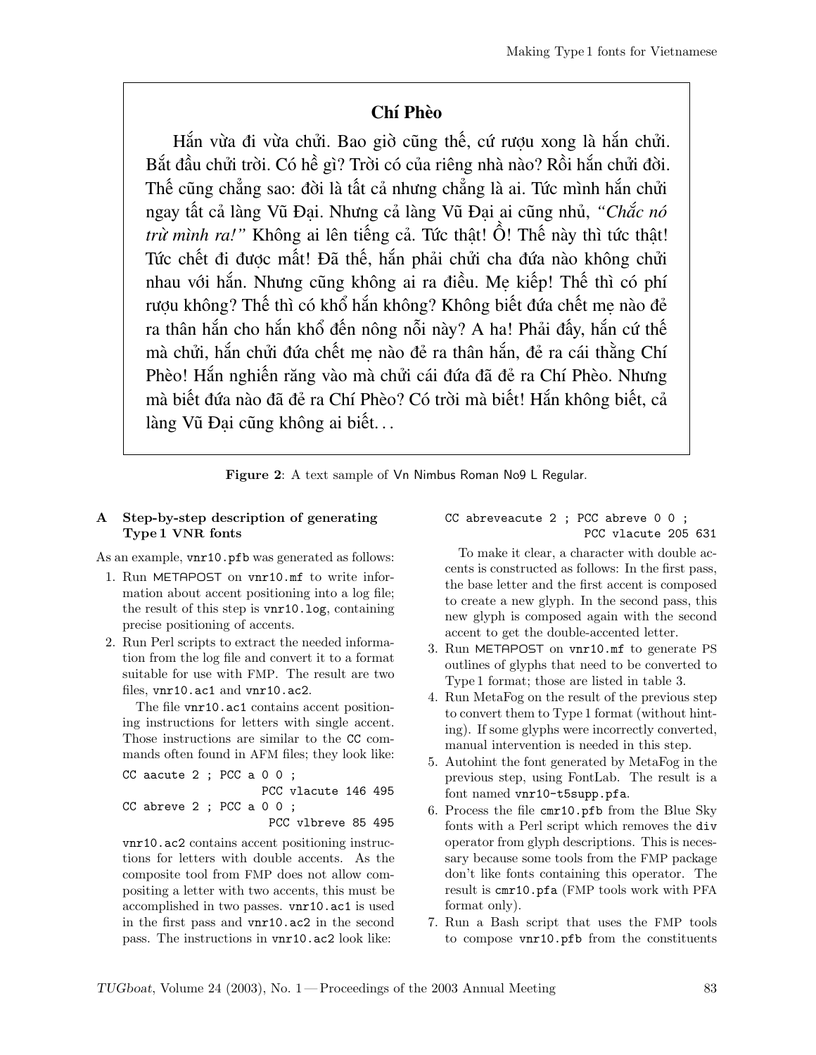# Chí Phèo

Hắn vừa đi vừa chửi. Bao giờ cũng thế, cứ rượu xong là hắn chửi. Bắt đầu chửi trời. Có hề gì? Trời có của riêng nhà nào? Rồi hắn chửi đời. Thế cũng chẳng sao: đời là tất cả nhưng chẳng là ai. Tức mình hắn chửi ngay tất cả làng Vũ Đại. Nhưng cả làng Vũ Đại ai cũng nhủ, *"Chắc nó trừ mình ra!"* Không ai lên tiếng cả. Tức thật! Ồ! Thế này thì tức thật! Tức chết đi được mất! Đã thế, hắn phải chửi cha đứa nào không chửi nhau với hắn. Nhưng cũng không ai ra điều. Mẹ kiếp! Thế thì có phí rượu không? Thế thì có khổ hắn không? Không biết đứa chết mẹ nào đẻ ra thân hắn cho hắn khổ đến nông nỗi này? A ha! Phải đấy, hắn cứ thế mà chửi, hắn chửi đứa chết mẹ nào đẻ ra thân hắn, đẻ ra cái thằng Chí Phèo! Hắn nghiến răng vào mà chửi cái đứa đã đẻ ra Chí Phèo. Nhưng mà biết đứa nào đã đẻ ra Chí Phèo? Có trời mà biết! Hắn không biết, cả làng Vũ Đại cũng không ai biết...

Figure 2: A text sample of Vn Nimbus Roman No9 L Regular.

## A Step-by-step description of generating Type 1 VNR fonts

As an example,  $\text{vnr10.pfb}$  was generated as follows:

- 1. Run METAPOST on vnr10.mf to write information about accent positioning into a log file; the result of this step is vnr10.log, containing precise positioning of accents.
- 2. Run Perl scripts to extract the needed information from the log file and convert it to a format suitable for use with FMP. The result are two files, vnr10.ac1 and vnr10.ac2.

The file vnr10.ac1 contains accent positioning instructions for letters with single accent. Those instructions are similar to the CC commands often found in AFM files; they look like:

```
CC aacute 2 ; PCC a 0 0 ;
                    PCC vlacute 146 495
CC abreve 2 ; PCC a 0 0 ;
                     PCC vlbreve 85 495
```
vnr10.ac2 contains accent positioning instructions for letters with double accents. As the composite tool from FMP does not allow compositing a letter with two accents, this must be accomplished in two passes. vnr10.ac1 is used in the first pass and vnr10.ac2 in the second pass. The instructions in vnr10.ac2 look like:

CC abreveacute 2 ; PCC abreve 0 0 ; PCC vlacute 205 631

To make it clear, a character with double accents is constructed as follows: In the first pass, the base letter and the first accent is composed to create a new glyph. In the second pass, this new glyph is composed again with the second accent to get the double-accented letter.

- 3. Run METAPOST on vnr10.mf to generate PS outlines of glyphs that need to be converted to Type 1 format; those are listed in table 3.
- 4. Run MetaFog on the result of the previous step to convert them to Type 1 format (without hinting). If some glyphs were incorrectly converted, manual intervention is needed in this step.
- 5. Autohint the font generated by MetaFog in the previous step, using FontLab. The result is a font named vnr10-t5supp.pfa.
- 6. Process the file cmr10.pfb from the Blue Sky fonts with a Perl script which removes the div operator from glyph descriptions. This is necessary because some tools from the FMP package don't like fonts containing this operator. The result is cmr10.pfa (FMP tools work with PFA format only).
- 7. Run a Bash script that uses the FMP tools to compose vnr10.pfb from the constituents